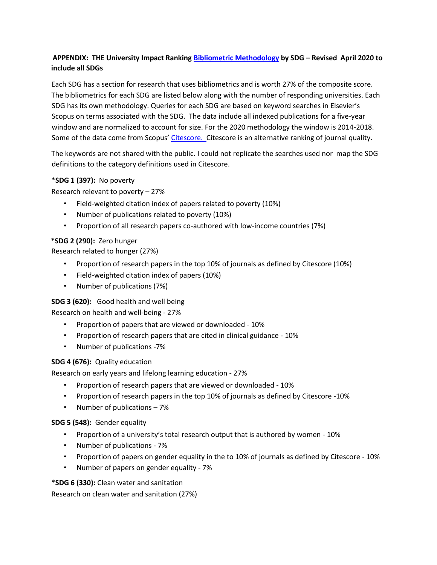# **APPENDIX: THE University Impact Ranking [Bibliometric](https://www.timeshighereducation.com/university-impact-rankings-2020-methodology) [Methodology](https://www.timeshighereducation.com/university-impact-rankings-2020-methodology) [b](https://www.timeshighereducation.com/university-impact-rankings-2020-methodology)y SDG – Revised April 2020 to include all SDGs**

Each SDG has a section for research that uses bibliometrics and is worth 27% of the composite score. The bibliometrics for each SDG are listed below along with the number of responding universities. Each SDG has its own methodology. Queries for each SDG are based on keyword searches in Elsevier's Scopus on terms associated with the SDG. The data include all indexed publications for a five-year window and are normalized to account for size. For the 2020 methodology the window is 2014-2018. Some of the data come from Scopus' [Citescore.](https://www.scopus.com/sources.uri) Citescore is an alternative ranking of journal quality.

The keywords are not shared with the public. I could not replicate the searches used nor map the SDG definitions to the category definitions used in Citescore.

### \***SDG 1 (397):** No poverty

Research relevant to poverty – 27%

- Field-weighted citation index of papers related to poverty (10%)
- Number of publications related to poverty (10%)
- Proportion of all research papers co-authored with low-income countries (7%)

### **\*SDG 2 (290):** Zero hunger

Research related to hunger (27%)

- Proportion of research papers in the top 10% of journals as defined by Citescore (10%)
- Field-weighted citation index of papers (10%)
- Number of publications (7%)

### **SDG 3 (620):** Good health and well being

Research on health and well-being - 27%

- Proportion of papers that are viewed or downloaded 10%
- Proportion of research papers that are cited in clinical guidance 10%
- Number of publications -7%

### **SDG 4 (676):** Quality education

Research on early years and lifelong learning education - 27%

- Proportion of research papers that are viewed or downloaded 10%
- Proportion of research papers in the top 10% of journals as defined by Citescore -10%
- Number of publications 7%

### **SDG 5 (548):** Gender equality

- Proportion of a university's total research output that is authored by women 10%
- Number of publications 7%
- Proportion of papers on gender equality in the to 10% of journals as defined by Citescore 10%
- Number of papers on gender equality 7%

\***SDG 6 (330):** Clean water and sanitation

Research on clean water and sanitation (27%)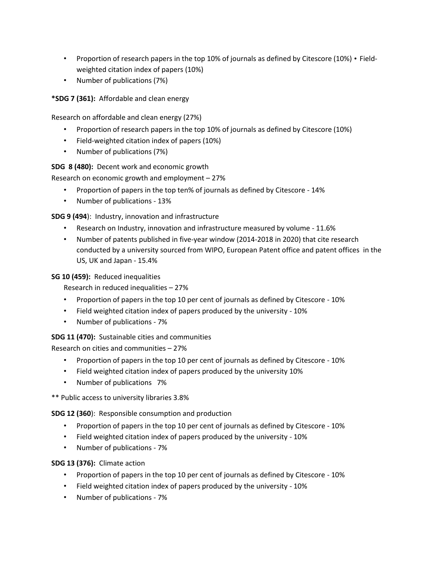- Proportion of research papers in the top 10% of journals as defined by Citescore (10%) Fieldweighted citation index of papers (10%)
- Number of publications (7%)

**\*SDG 7 (361):** Affordable and clean energy

Research on affordable and clean energy (27%)

- Proportion of research papers in the top 10% of journals as defined by Citescore (10%)
- Field-weighted citation index of papers (10%)
- Number of publications (7%)

**SDG 8 (480):** Decent work and economic growth

Research on economic growth and employment – 27%

- Proportion of papers in the top ten% of journals as defined by Citescore 14%
- Number of publications 13%

**SDG 9 (494**): Industry, innovation and infrastructure

- Research on Industry, innovation and infrastructure measured by volume 11.6%
- Number of patents published in five-year window (2014-2018 in 2020) that cite research conducted by a university sourced from WIPO, European Patent office and patent offices in the US, UK and Japan - 15.4%

**SG 10 (459):** Reduced inequalities

Research in reduced inequalities – 27%

- Proportion of papers in the top 10 per cent of journals as defined by Citescore 10%
- Field weighted citation index of papers produced by the university 10%
- Number of publications 7%

**SDG 11 (470):** Sustainable cities and communities

Research on cities and communities – 27%

- Proportion of papers in the top 10 per cent of journals as defined by Citescore 10%
- Field weighted citation index of papers produced by the university 10%
- Number of publications 7%

\*\* Public access to university libraries 3.8%

**SDG 12 (360**): Responsible consumption and production

- Proportion of papers in the top 10 per cent of journals as defined by Citescore 10%
- Field weighted citation index of papers produced by the university 10%
- Number of publications 7%

### **SDG 13 (376):** Climate action

- Proportion of papers in the top 10 per cent of journals as defined by Citescore 10%
- Field weighted citation index of papers produced by the university 10%
- Number of publications 7%